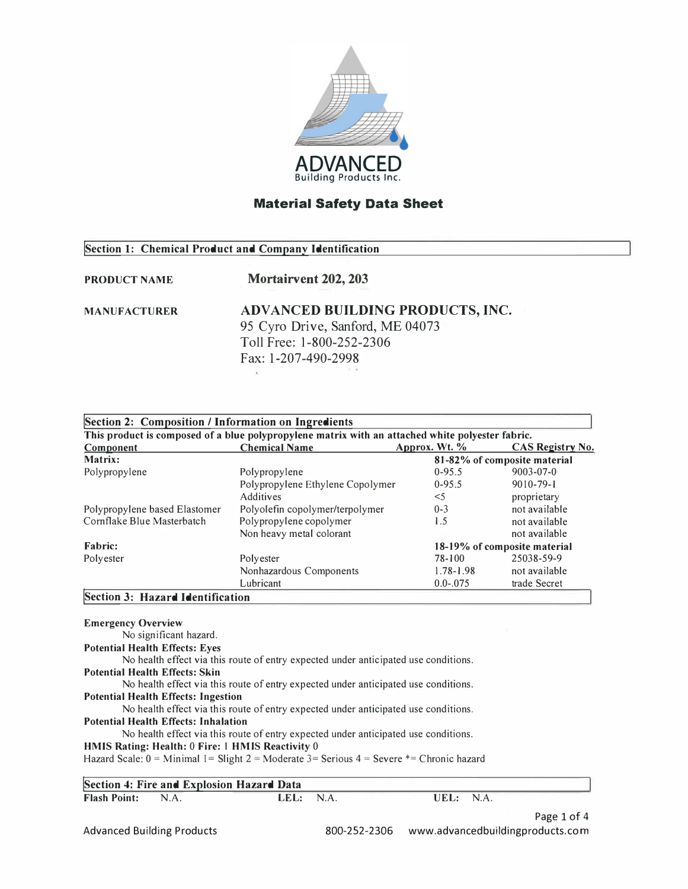

## **Section 1: Chemical Product and Company Identification**

## **PRODUCT NAME Mortairvent 202, 203**

## **MANUFACTURER ADV AN CED BUILDING PRODUCTS, INC.**  95 Cyro Drive, Sanford, ME 04073 Toll Free: 1-800-252-2306 Fax: 1-207-490-2998

| Section 2: Composition / Information on Ingredients                                              |                                  |                              |                         |  |  |
|--------------------------------------------------------------------------------------------------|----------------------------------|------------------------------|-------------------------|--|--|
| This product is composed of a blue polypropylene matrix with an attached white polyester fabric. |                                  |                              |                         |  |  |
| Component                                                                                        | <b>Chemical Name</b>             | Approx. Wt. %                | <b>CAS Registry No.</b> |  |  |
| Matrix:                                                                                          |                                  | 81-82% of composite material |                         |  |  |
| Polypropylene                                                                                    | Polypropylene                    | $0-95.5$                     | $9003 - 07 - 0$         |  |  |
|                                                                                                  | Polypropylene Ethylene Copolymer | $0-95.5$                     | $9010 - 79 - 1$         |  |  |
|                                                                                                  | <b>Additives</b>                 | $<$ 5                        | proprietary             |  |  |
| Polypropylene based Elastomer                                                                    | Polyolefin copolymer/terpolymer  | $0 - 3$                      | not available           |  |  |
| Cornflake Blue Masterbatch                                                                       | Polypropylene copolymer          | 1.5                          | not available           |  |  |
|                                                                                                  | Non heavy metal colorant         |                              | not available           |  |  |
| <b>Fabric:</b>                                                                                   |                                  | 18-19% of composite material |                         |  |  |
| Polyester                                                                                        | Polyester                        | 78-100                       | 25038-59-9              |  |  |
|                                                                                                  | Nonhazardous Components          | $1.78 - 1.98$                | not available           |  |  |
|                                                                                                  | Lubricant                        | $0.0 - 0.075$                | trade Secret            |  |  |
| Section 3: Hazard Identification                                                                 |                                  |                              |                         |  |  |

**!Section 3: Hazard Identification Emergency Overview**  No significant hazard. **Potential Health Effects: Eyes**  No health effect via this route of entry expected under anticipated use conditions. **Potential Health Effects: Skin**  No health effect via this route of entry expected under anticipated use conditions. **Potential Health Effects: Ingestion**  No health effect via this route of entry expected under anticipated use conditions. **Potential Health Effects: Inhalation**  No health effect via this route of entry expected under anticipated use conditions. **HMIS Rating: Health:** 0 **Fire:** I **HMIS· Reactivity** 0 Hazard Scale:  $0 =$  Minimal 1 = Slight 2 = Moderate 3 = Serious 4 = Severe  $*$  = Chronic hazard **Section 4: Fire and Explosion Hazard Data**<br>**Flash Point:** N.A. LEL: **Flash Point:** N.A. **LEL:** NA **UEL:** NA

Page 1 of 4 Advanced Building Products 800-252-2306 www.advancedbuildingproducts.com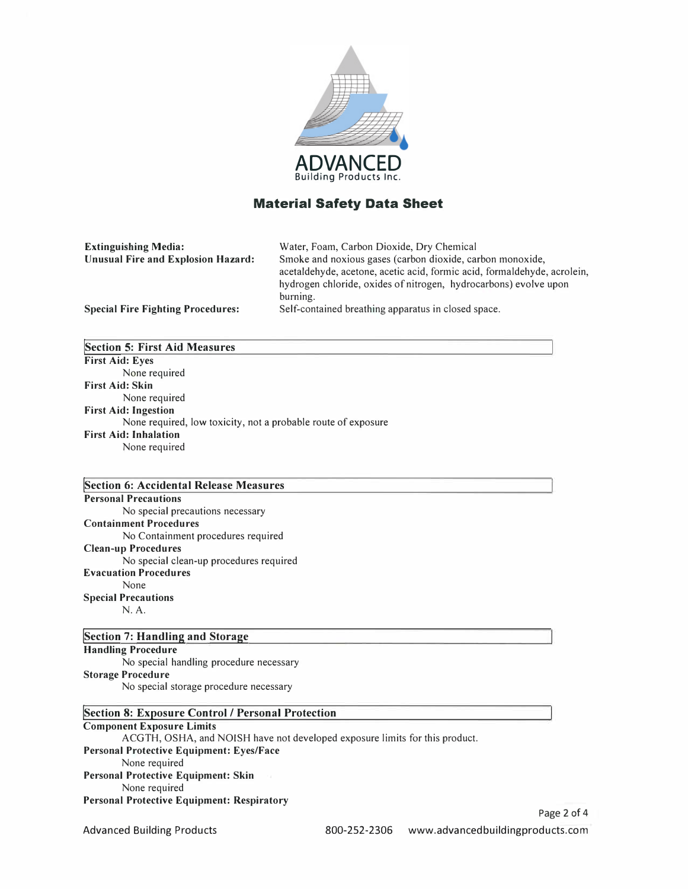

| <b>Extinguishing Media:</b>               | Water, Foam, Carbon Dioxide, Dry Chemical                                |
|-------------------------------------------|--------------------------------------------------------------------------|
| <b>Unusual Fire and Explosion Hazard:</b> | Smoke and noxious gases (carbon dioxide, carbon monoxide,                |
|                                           | acetaldehyde, acetone, acetic acid, formic acid, formaldehyde, acrolein, |
|                                           | hydrogen chloride, oxides of nitrogen, hydrocarbons) evolve upon         |
|                                           | burning.                                                                 |
| <b>Special Fire Fighting Procedures:</b>  | Self-contained breathing apparatus in closed space.                      |

| <b>Section 5: First Aid Measures</b>                          |
|---------------------------------------------------------------|
| <b>First Aid: Eyes</b>                                        |
| None required                                                 |
| <b>First Aid: Skin</b>                                        |
| None required                                                 |
| <b>First Aid: Ingestion</b>                                   |
| None required, low toxicity, not a probable route of exposure |
| <b>First Aid: Inhalation</b>                                  |
| None required                                                 |

#### **[Section 6: Accidental Release Measures Personal Precautions**  No special precautions necessary **Containment Procedures**  No Containment procedures required **Clean-up Procedures**

No special clean-up procedures required **Evacuation Procedures**  None **Special Precautions**  N.A.

#### **[Section 7: Handling and Storage**

**Handling Procedure**  No special handling procedure necessary **Storage Procedure**  No special storage procedure necessary

### **[Section 8: Exposure Control / Personal Protection**

#### **Component Exposure Limits**

ACGTH, OSHA, and NOISH have not developed exposure limits for this product. **Personal Protective Equipment: Eyes/Face**  None required **Personal Protective Equipment: Skin**  None required **Personal Protective Equipment: Respiratory**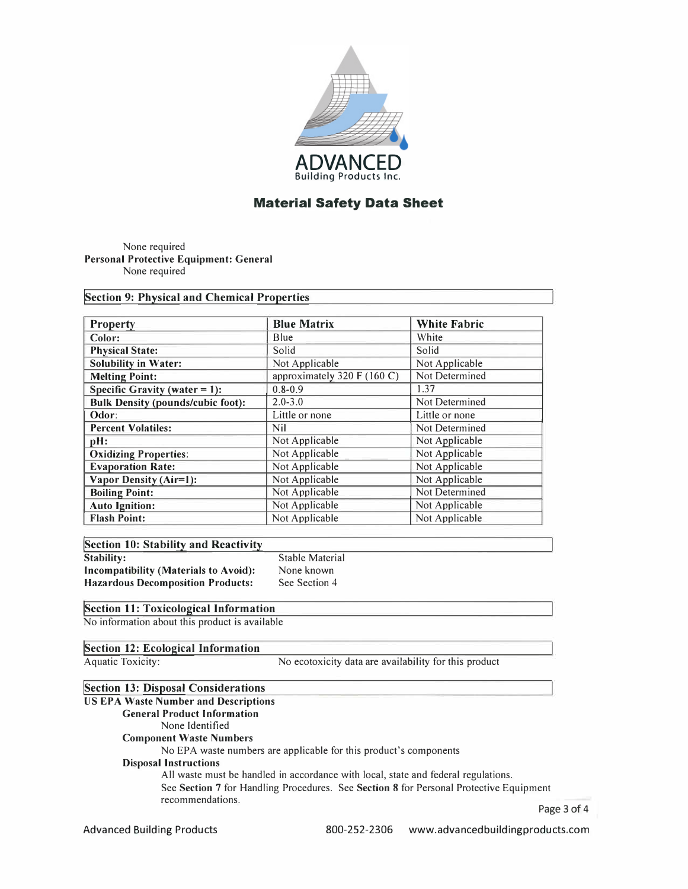

None required **Personal Protective Equipment: General**  None required

**!Section 9: Physical and Chemical Properties**

| <b>Property</b>                          | <b>Blue Matrix</b>          | <b>White Fabric</b> |
|------------------------------------------|-----------------------------|---------------------|
| Color:                                   | Blue                        | White               |
| <b>Physical State:</b>                   | Solid                       | Solid               |
| <b>Solubility in Water:</b>              | Not Applicable              | Not Applicable      |
| <b>Melting Point:</b>                    | approximately 320 F (160 C) | Not Determined      |
| Specific Gravity (water $= 1$ ):         | $0.8 - 0.9$                 | 1.37                |
| <b>Bulk Density (pounds/cubic foot):</b> | $2.0 - 3.0$                 | Not Determined      |
| Odor:                                    | Little or none              | Little or none      |
| <b>Percent Volatiles:</b>                | Nil                         | Not Determined      |
| pH:                                      | Not Applicable              | Not Applicable      |
| <b>Oxidizing Properties:</b>             | Not Applicable              | Not Applicable      |
| <b>Evaporation Rate:</b>                 | Not Applicable              | Not Applicable      |
| Vapor Density (Air=1):                   | Not Applicable              | Not Applicable      |
| <b>Boiling Point:</b>                    | Not Applicable              | Not Determined      |
| <b>Auto Ignition:</b>                    | Not Applicable              | Not Applicable      |
| <b>Flash Point:</b>                      | Not Applicable              | Not Applicable      |

|            |  | Section 10: Stability and Reactivity |  |
|------------|--|--------------------------------------|--|
| Stability: |  |                                      |  |

**Incompatibility (Materials to Avoid): Hazardous Decomposition Products:** 

Stable Material None known See Section 4

### **!Section 11: Toxicological Information**

No information about this product is available

**!Section** 12: **Ecological Information**

Aquatic Toxicity: No ecotoxicity data are availability for this product

### **!Section 13: Disposal Considerations**

## **US EPA Waste Number and Descriptions**

**General Product Information**  None Identified

**Component Waste Numbers**  No EPA waste numbers are applicable for this product's components

# **Disposal Instructions**

All waste must be handled in accordance with local, state and federal regulations. See **Section** 7 for Handling Procedures. See **Section 8** for Personal Protective Equipment recommendations. Page 3 of 4